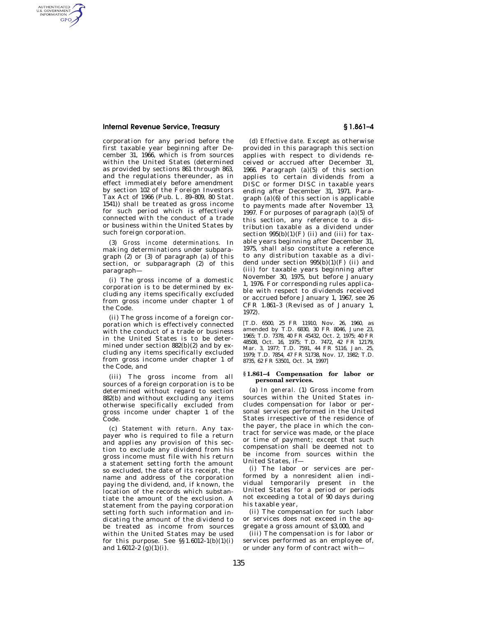## **Internal Revenue Service, Treasury § 1.861–4**

AUTHENTICATED<br>U.S. GOVERNMENT<br>INFORMATION **GPO** 

> corporation for any period before the first taxable year beginning after December 31, 1966, which is from sources within the United States (determined as provided by sections 861 through 863, and the regulations thereunder, as in effect immediately before amendment by section 102 of the Foreign Investors Tax Act of 1966 (Pub. L. 89–809, 80 Stat. 1541)) shall be treated as gross income for such period which is effectively connected with the conduct of a trade or business within the United States by such foreign corporation.

> (3) *Gross income determinations.* In making determinations under subparagraph  $(2)$  or  $(3)$  of paragraph  $(a)$  of this section, or subparagraph (2) of this paragraph—

> (i) The gross income of a domestic corporation is to be determined by excluding any items specifically excluded from gross income under chapter 1 of the Code.

> (ii) The gross income of a foreign corporation which is effectively connected with the conduct of a trade or business in the United States is to be determined under section 882(b)(2) and by excluding any items specifically excluded from gross income under chapter 1 of the Code, and

> (iii) The gross income from all sources of a foreign corporation is to be determined without regard to section 882(b) and without excluding any items otherwise specifically excluded from gross income under chapter 1 of the Code.

> (c) *Statement with return.* Any taxpayer who is required to file a return and applies any provision of this section to exclude any dividend from his gross income must file with his return a statement setting forth the amount so excluded, the date of its receipt, the name and address of the corporation paying the dividend, and, if known, the location of the records which substantiate the amount of the exclusion. A statement from the paying corporation setting forth such information and indicating the amount of the dividend to be treated as income from sources within the United States may be used for this purpose. See  $\S$ 1.6012-1(b)(1)(i) and  $1.6012-2$  (g)(1)(i).

(d) *Effective date.* Except as otherwise provided in this paragraph this section applies with respect to dividends received or accrued after December 31, 1966. Paragraph (a)(5) of this section applies to certain dividends from a DISC or former DISC in taxable years ending after December 31, 1971. Paragraph (a)(6) of this section is applicable to payments made after November 13, 1997. For purposes of paragraph (a)(5) of this section, any reference to a distribution taxable as a dividend under section  $995(b)(1)(F)$  (ii) and (iii) for taxable years beginning after December 31, 1975, shall also constitute a reference to any distribution taxable as a dividend under section  $995(b)(1)(F)$  (ii) and (iii) for taxable years beginning after November 30, 1975, but before January 1, 1976. For corresponding rules applicable with respect to dividends received or accrued before January 1, 1967, see 26 CFR 1.861–3 (Revised as of January 1, 1972).

[T.D. 6500, 25 FR 11910, Nov. 26, 1960, as amended by T.D. 6830, 30 FR 8046, June 23, 1965; T.D. 7378, 40 FR 45432, Oct. 2, 1975; 40 FR 48508, Oct. 16, 1975; T.D. 7472, 42 FR 12179, Mar. 3, 1977; T.D. 7591, 44 FR 5116, Jan. 25, 1979; T.D. 7854, 47 FR 51738, Nov. 17, 1982; T.D. 8735, 62 FR 53501, Oct. 14, 1997]

## **§ 1.861–4 Compensation for labor or personal services.**

(a) *In general.* (1) Gross income from sources within the United States includes compensation for labor or personal services performed in the United States irrespective of the residence of the payer, the place in which the contract for service was made, or the place or time of payment; except that such compensation shall be deemed not to be income from sources within the United States, if—

(i) The labor or services are performed by a nonresident alien individual temporarily present in the United States for a period or periods not exceeding a total of 90 days during his taxable year,

(ii) The compensation for such labor or services does not exceed in the aggregate a gross amount of \$3,000, and

(iii) The compensation is for labor or services performed as an employee of, or under any form of contract with—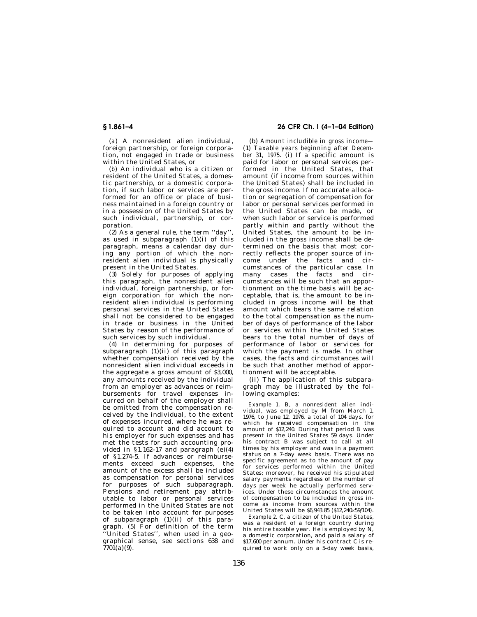(*a*) A nonresident alien individual, foreign partnership, or foreign corporation, not engaged in trade or business within the United States, or

(*b*) An individual who is a citizen or resident of the United States, a domestic partnership, or a domestic corporation, if such labor or services are performed for an office or place of business maintained in a foreign country or in a possession of the United States by such individual, partnership, or corporation.

(2) As a general rule, the term ''day'', as used in subparagraph  $(1)(i)$  of this paragraph, means a calendar day during any portion of which the nonresident alien individual is physically present in the United States.

(3) Solely for purposes of applying this paragraph, the nonresident alien individual, foreign partnership, or foreign corporation for which the nonresident alien individual is performing personal services in the United States shall not be considered to be engaged in trade or business in the United States by reason of the performance of such services by such individual.

(4) In determining for purposes of subparagraph  $(1)(ii)$  of this paragraph whether compensation received by the nonresident alien individual exceeds in the aggregate a gross amount of \$3,000, any amounts received by the individual from an employer as advances or reimbursements for travel expenses incurred on behalf of the employer shall be omitted from the compensation received by the individual, to the extent of expenses incurred, where he was required to account and did account to his employer for such expenses and has met the tests for such accounting provided in §1.162–17 and paragraph  $(e)(4)$ of §1.274–5. If advances or reimbursements exceed such expenses, the amount of the excess shall be included as compensation for personal services for purposes of such subparagraph. Pensions and retirement pay attributable to labor or personal services performed in the United States are not to be taken into account for purposes of subparagraph (1)(ii) of this paragraph. (5) For definition of the term ''United States'', when used in a geographical sense, see sections 638 and  $7701(a)(9)$ .

# **§ 1.861–4 26 CFR Ch. I (4–1–04 Edition)**

(b) *Amount includible in gross income—* (1) *Taxable years beginning after December 31, 1975.* (i) If a specific amount is paid for labor or personal services performed in the United States, that amount (if income from sources within the United States) shall be included in the gross income. If no accurate allocation or segregation of compensation for labor or personal services performed in the United States can be made, or when such labor or service is performed partly within and partly without the United States, the amount to be included in the gross income shall be determined on the basis that most correctly reflects the proper source of income under the facts and circumstances of the particular case. In many cases the facts and circumstances will be such that an apportionment on the time basis will be acceptable, that is, the amount to be included in gross income will be that amount which bears the same relation to the total compensation as the number of days of performance of the labor or services within the United States bears to the total number of days of performance of labor or services for which the payment is made. In other cases, the facts and circumstances will be such that another method of apportionment will be acceptable.

(ii) The application of this subparagraph may be illustrated by the following examples:

*Example 1.* B, a nonresident alien individual, was employed by M from March 1, 1976, to June 12, 1976, a total of 104 days, for which he received compensation in the amount of \$12,240. During that period B was present in the United States 59 days. Under his contract B was subject to call at all times by his employer and was in a payment status on a 7-day week basis. There was no specific agreement as to the amount of pay for services performed within the United States; moreover, he received his stipulated salary payments regardless of the number of days per week he actually performed services. Under these circumstances the amount of compensation to be included in gross income as income from sources within the United States will be \$6,943.85 (\$12,240×59/104).

*Example 2.* C, a citizen of the United States, was a resident of a foreign country during his entire taxable year. He is employed by  $\tilde{N}$ a domestic corporation, and paid a salary of \$17,600 per annum. Under his contract C is required to work only on a 5-day week basis,